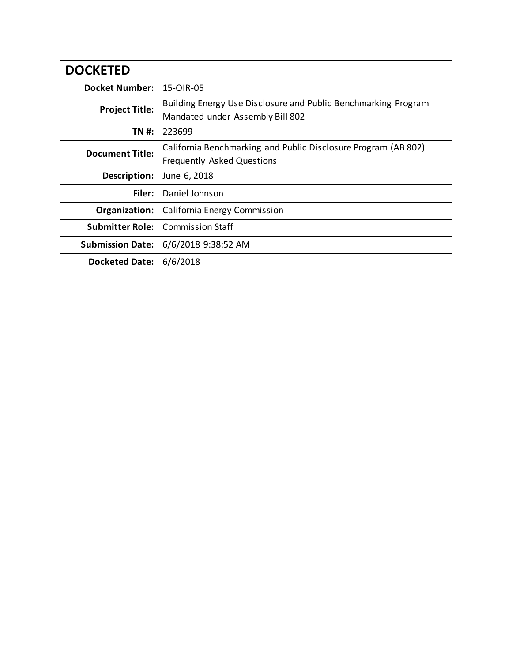| <b>DOCKETED</b>         |                                                                                                    |  |  |
|-------------------------|----------------------------------------------------------------------------------------------------|--|--|
| <b>Docket Number:</b>   | 15-OIR-05                                                                                          |  |  |
| <b>Project Title:</b>   | Building Energy Use Disclosure and Public Benchmarking Program<br>Mandated under Assembly Bill 802 |  |  |
| <b>TN#:</b>             | 223699                                                                                             |  |  |
| <b>Document Title:</b>  | California Benchmarking and Public Disclosure Program (AB 802)<br>Frequently Asked Questions       |  |  |
| Description:            | June 6, 2018                                                                                       |  |  |
| Filer:                  | Daniel Johnson                                                                                     |  |  |
| Organization:           | California Energy Commission                                                                       |  |  |
| <b>Submitter Role:</b>  | <b>Commission Staff</b>                                                                            |  |  |
| <b>Submission Date:</b> | 6/6/2018 9:38:52 AM                                                                                |  |  |
| <b>Docketed Date:</b>   | 6/6/2018                                                                                           |  |  |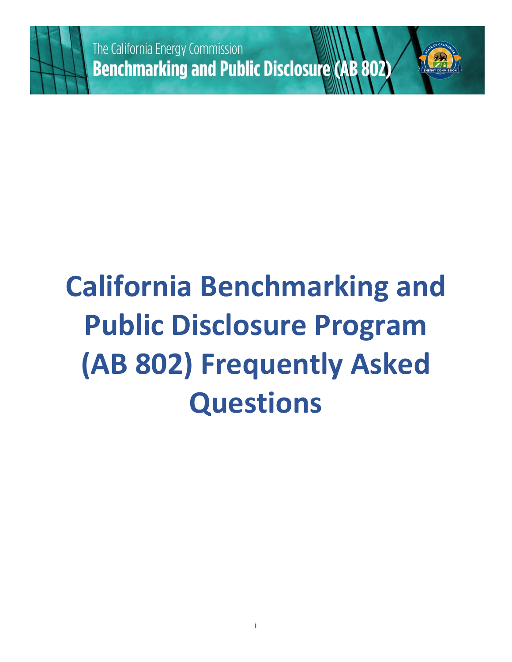

# **California Benchmarking and Public Disclosure Program (AB 802) Frequently Asked Questions**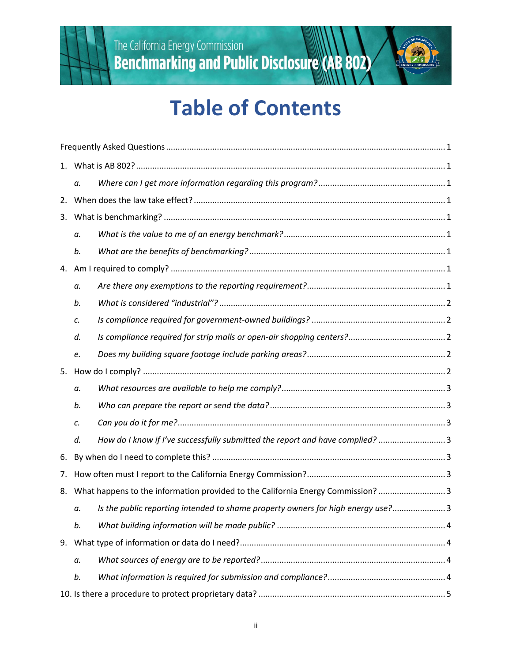



|    | а.                                                                                 |                                                                                 |  |
|----|------------------------------------------------------------------------------------|---------------------------------------------------------------------------------|--|
|    |                                                                                    |                                                                                 |  |
|    |                                                                                    |                                                                                 |  |
|    | a.                                                                                 |                                                                                 |  |
|    | b.                                                                                 |                                                                                 |  |
| 4. |                                                                                    |                                                                                 |  |
|    | а.                                                                                 |                                                                                 |  |
|    | b.                                                                                 |                                                                                 |  |
|    | C.                                                                                 |                                                                                 |  |
|    | d.                                                                                 |                                                                                 |  |
|    | e.                                                                                 |                                                                                 |  |
| 5. |                                                                                    |                                                                                 |  |
|    | а.                                                                                 |                                                                                 |  |
|    | b.                                                                                 |                                                                                 |  |
|    | c.                                                                                 |                                                                                 |  |
|    | d.                                                                                 | How do I know if I've successfully submitted the report and have complied? 3    |  |
| 6. |                                                                                    |                                                                                 |  |
| 7. |                                                                                    |                                                                                 |  |
|    | 8. What happens to the information provided to the California Energy Commission? 3 |                                                                                 |  |
|    | а.                                                                                 | Is the public reporting intended to shame property owners for high energy use?3 |  |
|    | b.                                                                                 |                                                                                 |  |
| 9. |                                                                                    |                                                                                 |  |
|    | а.                                                                                 |                                                                                 |  |
|    | b.                                                                                 |                                                                                 |  |
|    |                                                                                    |                                                                                 |  |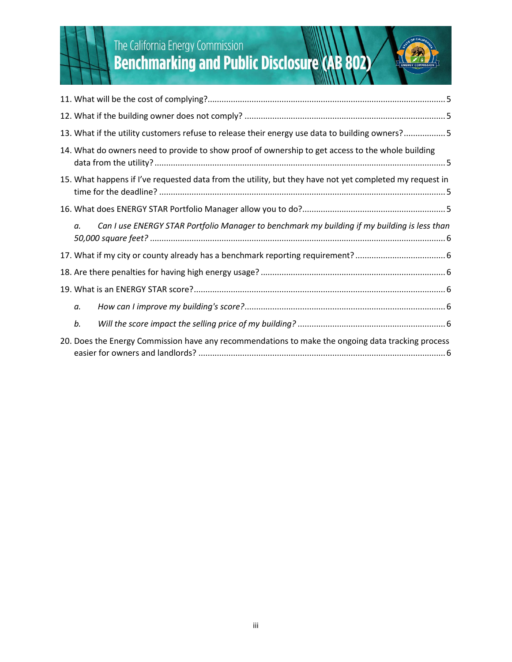

# The California Energy Commission<br> **Benchmarking and Public Disclosure (AB 802)**

|                                                                                                         | 13. What if the utility customers refuse to release their energy use data to building owners?5    |  |  |  |
|---------------------------------------------------------------------------------------------------------|---------------------------------------------------------------------------------------------------|--|--|--|
|                                                                                                         | 14. What do owners need to provide to show proof of ownership to get access to the whole building |  |  |  |
| 15. What happens if I've requested data from the utility, but they have not yet completed my request in |                                                                                                   |  |  |  |
|                                                                                                         |                                                                                                   |  |  |  |
| α.                                                                                                      | Can I use ENERGY STAR Portfolio Manager to benchmark my building if my building is less than      |  |  |  |
|                                                                                                         |                                                                                                   |  |  |  |
|                                                                                                         |                                                                                                   |  |  |  |
|                                                                                                         |                                                                                                   |  |  |  |
| a.                                                                                                      |                                                                                                   |  |  |  |
| b.                                                                                                      |                                                                                                   |  |  |  |
|                                                                                                         | 20. Does the Energy Commission have any recommendations to make the ongoing data tracking process |  |  |  |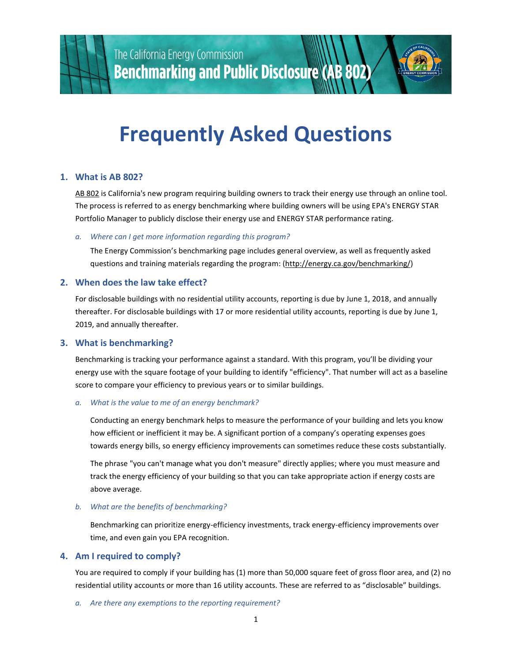



## **Frequently Asked Questions**

#### **1. What is AB 802?**

AB 802 is California's new program requiring building owners to track their energy use through an online tool. The process is referred to as energy benchmarking where building owners will be using EPA's ENERGY STAR Portfolio Manager to publicly disclose their energy use and ENERGY STAR performance rating.

#### *a. Where can I get more information regarding this program?*

The Energy Commission's benchmarking page includes general overview, as well as frequently asked questions and training materials regarding the program: (http://energy.ca.gov/benchmarking/)

#### **2. When does the law take effect?**

For disclosable buildings with no residential utility accounts, reporting is due by June 1, 2018, and annually thereafter. For disclosable buildings with 17 or more residential utility accounts, reporting is due by June 1, 2019, and annually thereafter.

#### **3. What is benchmarking?**

Benchmarking is tracking your performance against a standard. With this program, you'll be dividing your energy use with the square footage of your building to identify "efficiency". That number will act as a baseline score to compare your efficiency to previous years or to similar buildings.

#### *a. What is the value to me of an energy benchmark?*

Conducting an energy benchmark helps to measure the performance of your building and lets you know how efficient or inefficient it may be. A significant portion of a company's operating expenses goes towards energy bills, so energy efficiency improvements can sometimes reduce these costs substantially.

The phrase "you can't manage what you don't measure" directly applies; where you must measure and track the energy efficiency of your building so that you can take appropriate action if energy costs are above average.

#### *b. What are the benefits of benchmarking?*

Benchmarking can prioritize energy-efficiency investments, track energy-efficiency improvements over time, and even gain you EPA recognition.

#### **4. Am I required to comply?**

You are required to comply if your building has (1) more than 50,000 square feet of gross floor area, and (2) no residential utility accounts or more than 16 utility accounts. These are referred to as "disclosable" buildings.

*a. Are there any exemptions to the reporting requirement?*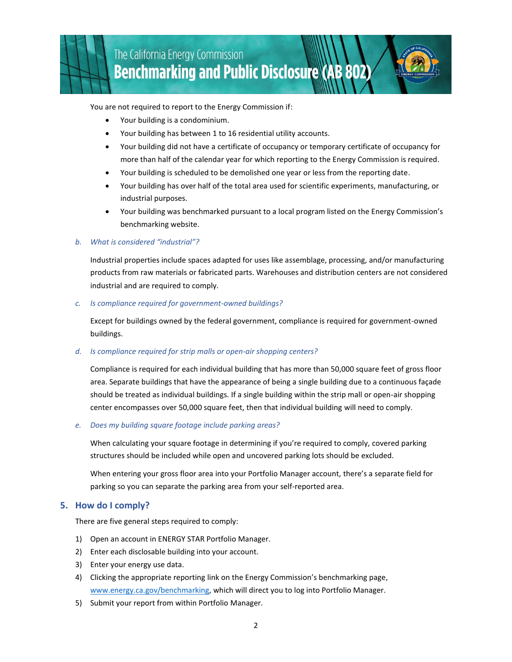You are not required to report to the Energy Commission if:

- Your building is a condominium.
- Your building has between 1 to 16 residential utility accounts.
- Your building did not have a certificate of occupancy or temporary certificate of occupancy for more than half of the calendar year for which reporting to the Energy Commission is required.
- Your building is scheduled to be demolished one year or less from the reporting date.
- Your building has over half of the total area used for scientific experiments, manufacturing, or industrial purposes.
- Your building was benchmarked pursuant to a local program listed on the Energy Commission's benchmarking website.

#### *b. What is considered "industrial"?*

Industrial properties include spaces adapted for uses like assemblage, processing, and/or manufacturing products from raw materials or fabricated parts. Warehouses and distribution centers are not considered industrial and are required to comply.

#### *c. Is compliance required for government-owned buildings?*

Except for buildings owned by the federal government, compliance is required for government-owned buildings.

#### *d. Is compliance required for strip malls or open-air shopping centers?*

Compliance is required for each individual building that has more than 50,000 square feet of gross floor area. Separate buildings that have the appearance of being a single building due to a continuous façade should be treated as individual buildings. If a single building within the strip mall or open-air shopping center encompasses over 50,000 square feet, then that individual building will need to comply.

#### *e. Does my building square footage include parking areas?*

When calculating your square footage in determining if you're required to comply, covered parking structures should be included while open and uncovered parking lots should be excluded.

When entering your gross floor area into your Portfolio Manager account, there's a separate field for parking so you can separate the parking area from your self-reported area.

#### **5. How do I comply?**

There are five general steps required to comply:

- 1) Open an account in ENERGY STAR Portfolio Manager.
- 2) Enter each disclosable building into your account.
- 3) Enter your energy use data.
- 4) Clicking the appropriate reporting link on the Energy Commission's benchmarking page, www.energy.ca.gov/benchmarking, which will direct you to log into Portfolio Manager.
- 5) Submit your report from within Portfolio Manager.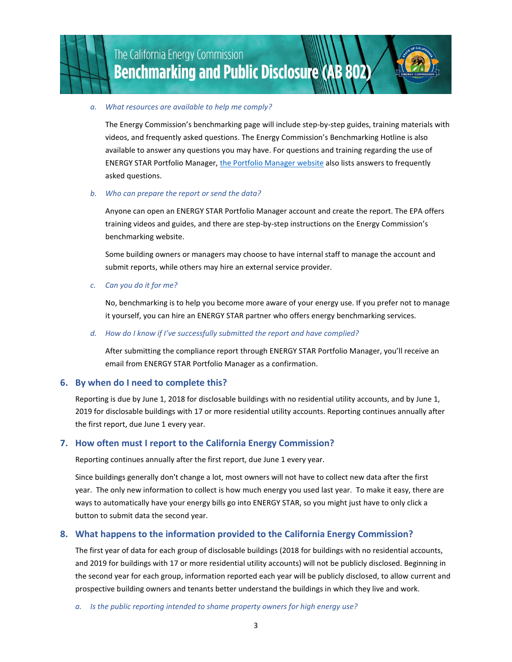

### The California Energy Commission **Benchmarking and Public Disclosure (AB 802)**

#### *a. What resources are available to help me comply?*

The Energy Commission's benchmarking page will include step-by-step guides, training materials with videos, and frequently asked questions. The Energy Commission's Benchmarking Hotline is also available to answer any questions you may have. For questions and training regarding the use of ENERGY STAR Portfolio Manager, the Portfolio Manager website also lists answers to frequently asked questions.

#### *b. Who can prepare the report or send the data?*

Anyone can open an ENERGY STAR Portfolio Manager account and create the report. The EPA offers training videos and guides, and there are step-by-step instructions on the Energy Commission's benchmarking website.

Some building owners or managers may choose to have internal staff to manage the account and submit reports, while others may hire an external service provider.

#### *c. Can you do it for me?*

No, benchmarking is to help you become more aware of your energy use. If you prefer not to manage it yourself, you can hire an ENERGY STAR partner who offers energy benchmarking services.

#### *d. How do I know if I've successfully submitted the report and have complied?*

After submitting the compliance report through ENERGY STAR Portfolio Manager, you'll receive an email from ENERGY STAR Portfolio Manager as a confirmation.

#### **6. By when do I need to complete this?**

Reporting is due by June 1, 2018 for disclosable buildings with no residential utility accounts, and by June 1, 2019 for disclosable buildings with 17 or more residential utility accounts. Reporting continues annually after the first report, due June 1 every year.

#### **7. How often must I report to the California Energy Commission?**

Reporting continues annually after the first report, due June 1 every year.

Since buildings generally don't change a lot, most owners will not have to collect new data after the first year. The only new information to collect is how much energy you used last year. To make it easy, there are ways to automatically have your energy bills go into ENERGY STAR, so you might just have to only click a button to submit data the second year.

#### **8. What happens to the information provided to the California Energy Commission?**

The first year of data for each group of disclosable buildings (2018 for buildings with no residential accounts, and 2019 for buildings with 17 or more residential utility accounts) will not be publicly disclosed. Beginning in the second year for each group, information reported each year will be publicly disclosed, to allow current and prospective building owners and tenants better understand the buildings in which they live and work.

*a. Is the public reporting intended to shame property owners for high energy use?*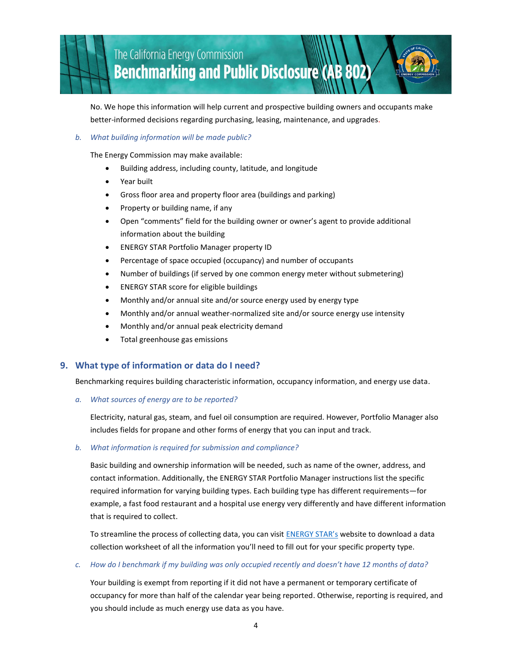No. We hope this information will help current and prospective building owners and occupants make better-informed decisions regarding purchasing, leasing, maintenance, and upgrades.

#### *b. What building information will be made public?*

The Energy Commission may make available:

- Building address, including county, latitude, and longitude
- Year built
- Gross floor area and property floor area (buildings and parking)
- Property or building name, if any
- Open "comments" field for the building owner or owner's agent to provide additional information about the building
- ENERGY STAR Portfolio Manager property ID
- Percentage of space occupied (occupancy) and number of occupants
- Number of buildings (if served by one common energy meter without submetering)
- ENERGY STAR score for eligible buildings
- Monthly and/or annual site and/or source energy used by energy type
- Monthly and/or annual weather-normalized site and/or source energy use intensity
- Monthly and/or annual peak electricity demand
- Total greenhouse gas emissions

#### **9. What type of information or data do I need?**

Benchmarking requires building characteristic information, occupancy information, and energy use data.

*a. What sources of energy are to be reported?*

Electricity, natural gas, steam, and fuel oil consumption are required. However, Portfolio Manager also includes fields for propane and other forms of energy that you can input and track.

#### *b. What information is required for submission and compliance?*

Basic building and ownership information will be needed, such as name of the owner, address, and contact information. Additionally, the ENERGY STAR Portfolio Manager instructions list the specific required information for varying building types. Each building type has different requirements—for example, a fast food restaurant and a hospital use energy very differently and have different information that is required to collect.

To streamline the process of collecting data, you can visit ENERGY STAR's website to download a data collection worksheet of all the information you'll need to fill out for your specific property type.

*c. How do I benchmark if my building was only occupied recently and doesn't have 12 months of data?*

Your building is exempt from reporting if it did not have a permanent or temporary certificate of occupancy for more than half of the calendar year being reported. Otherwise, reporting is required, and you should include as much energy use data as you have.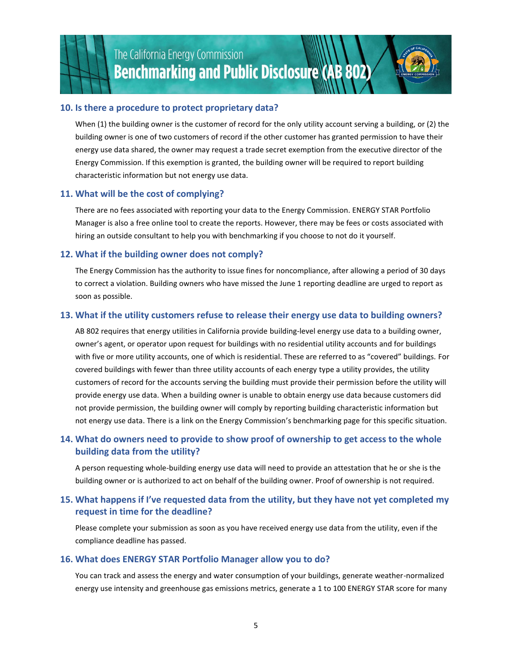

### The California Energy Commission **Benchmarking and Public Disclosure (AB 802)**

#### **10. Is there a procedure to protect proprietary data?**

When (1) the building owner is the customer of record for the only utility account serving a building, or (2) the building owner is one of two customers of record if the other customer has granted permission to have their energy use data shared, the owner may request a trade secret exemption from the executive director of the Energy Commission. If this exemption is granted, the building owner will be required to report building characteristic information but not energy use data.

#### **11. What will be the cost of complying?**

There are no fees associated with reporting your data to the Energy Commission. ENERGY STAR Portfolio Manager is also a free online tool to create the reports. However, there may be fees or costs associated with hiring an outside consultant to help you with benchmarking if you choose to not do it yourself.

#### **12. What if the building owner does not comply?**

The Energy Commission has the authority to issue fines for noncompliance, after allowing a period of 30 days to correct a violation. Building owners who have missed the June 1 reporting deadline are urged to report as soon as possible.

#### **13. What if the utility customers refuse to release their energy use data to building owners?**

AB 802 requires that energy utilities in California provide building-level energy use data to a building owner, owner's agent, or operator upon request for buildings with no residential utility accounts and for buildings with five or more utility accounts, one of which is residential. These are referred to as "covered" buildings. For covered buildings with fewer than three utility accounts of each energy type a utility provides, the utility customers of record for the accounts serving the building must provide their permission before the utility will provide energy use data. When a building owner is unable to obtain energy use data because customers did not provide permission, the building owner will comply by reporting building characteristic information but not energy use data. There is a link on the Energy Commission's benchmarking page for this specific situation.

#### **14. What do owners need to provide to show proof of ownership to get access to the whole building data from the utility?**

A person requesting whole-building energy use data will need to provide an attestation that he or she is the building owner or is authorized to act on behalf of the building owner. Proof of ownership is not required.

#### **15. What happens if I've requested data from the utility, but they have not yet completed my request in time for the deadline?**

Please complete your submission as soon as you have received energy use data from the utility, even if the compliance deadline has passed.

#### **16. What does ENERGY STAR Portfolio Manager allow you to do?**

You can track and assess the energy and water consumption of your buildings, generate weather-normalized energy use intensity and greenhouse gas emissions metrics, generate a 1 to 100 ENERGY STAR score for many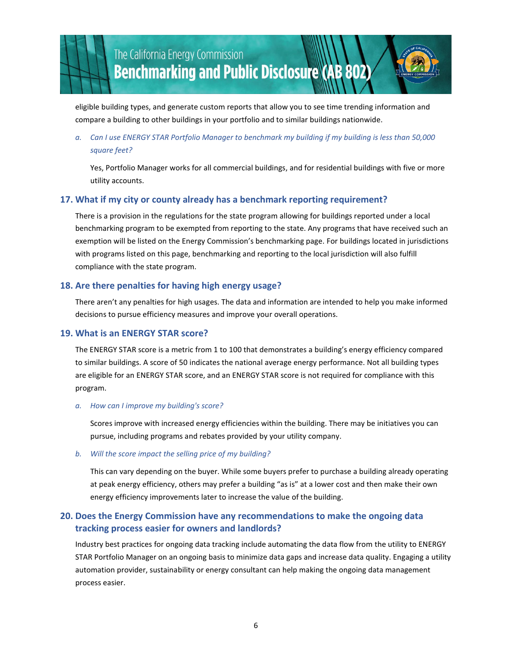

eligible building types, and generate custom reports that allow you to see time trending information and compare a building to other buildings in your portfolio and to similar buildings nationwide.

#### *a. Can I use ENERGY STAR Portfolio Manager to benchmark my building if my building is less than 50,000 square feet?*

Yes, Portfolio Manager works for all commercial buildings, and for residential buildings with five or more utility accounts.

#### **17. What if my city or county already has a benchmark reporting requirement?**

There is a provision in the regulations for the state program allowing for buildings reported under a local benchmarking program to be exempted from reporting to the state. Any programs that have received such an exemption will be listed on the Energy Commission's benchmarking page. For buildings located in jurisdictions with programs listed on this page, benchmarking and reporting to the local jurisdiction will also fulfill compliance with the state program.

#### **18. Are there penalties for having high energy usage?**

There aren't any penalties for high usages. The data and information are intended to help you make informed decisions to pursue efficiency measures and improve your overall operations.

#### **19. What is an ENERGY STAR score?**

The ENERGY STAR score is a metric from 1 to 100 that demonstrates a building's energy efficiency compared to similar buildings. A score of 50 indicates the national average energy performance. Not all building types are eligible for an ENERGY STAR score, and an ENERGY STAR score is not required for compliance with this program.

#### *a. How can I improve my building's score?*

Scores improve with increased energy efficiencies within the building. There may be initiatives you can pursue, including programs and rebates provided by your utility company.

#### *b. Will the score impact the selling price of my building?*

This can vary depending on the buyer. While some buyers prefer to purchase a building already operating at peak energy efficiency, others may prefer a building "as is" at a lower cost and then make their own energy efficiency improvements later to increase the value of the building.

#### **20. Does the Energy Commission have any recommendations to make the ongoing data tracking process easier for owners and landlords?**

Industry best practices for ongoing data tracking include automating the data flow from the utility to ENERGY STAR Portfolio Manager on an ongoing basis to minimize data gaps and increase data quality. Engaging a utility automation provider, sustainability or energy consultant can help making the ongoing data management process easier.